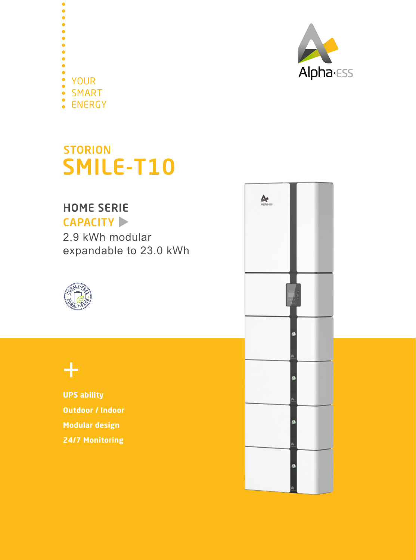

 $\bullet$ YOUR SMART ENERGY

## STORION SMILE-T10

## HOME SERIE



2.9 kWh modular expandable to 23.0 kWh



## $+$

**UPS ability Outdoor / Indoor Modular design 24/7 Monitoring**